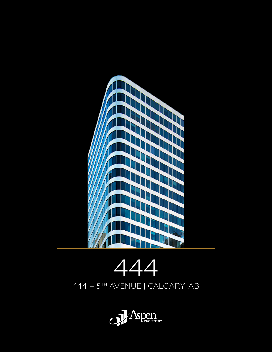



444 – 5TH AVENUE | CALGARY, AB

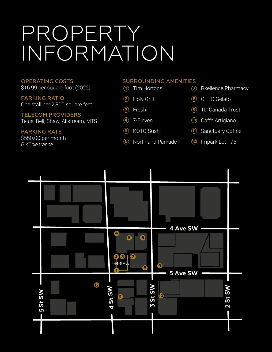## PROPERTY INFORMATION

OPERATING COSTS \$16.99 per square foot (2022)

PARKING RATIO One stall per 2,800 square feet

TELECOM PROVIDERS Telus, Bell, Shaw, Allstream, MTS

PARKING RATE \$550.00 per month *6' 4" clearance*

#### SURROUNDING AMENITIES

- Tim Hortons **1**
- Holy Grill **2**
- 3) Freshii
- 7-Eleven **4**
- KOTO Sushi **5**
- Northland Parkade **6**
- **7** Rxellence Pharmacy
- OTTO Gelato **8**
- TD Canada Trust **9**
- Caffe Artigiano **10**
- Sanctuary Coffee **11**
- Impark Lot 176 **12**

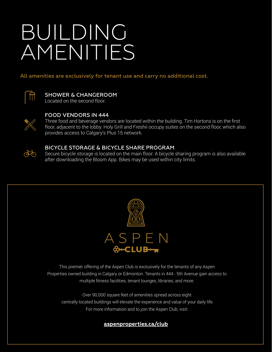# BUILDING AMENITIES

All amenities are exclusively for tenant use and carry no additional cost.



SHOWER & CHANGEROOM Located on the second floor.



#### FOOD VENDORS IN 444

Three food and beverage vendors are located within the building. Tim Hortons is on the first floor, adjacent to the lobby. Holy Grill and Freshii occupy suites on the second floor, which also provides access to Calgary's Plus 15 network.



#### BICYCLE STORAGE & BICYCLE SHARE PROGRAM

Secure bicycle storage is located on the main floor. A bicycle sharing program is also available after downloading the Bloom App. Bikes may be used within city limits.



This premier offering of the Aspen Club is exclusively for the tenants of any Aspen Properties owned building in Calgary or Edmonton. Tenants in 444 - 5th Avenue gain access to multiple fitness facilities, tenant lounges, libraries, and more.

Over 90,000 square feet of amenities spread across eight centrally located buildings will elevate the experience and value of your daily life. For more information and to join the Aspen Club, visit:

**[aspenproperties.ca/club](http://aspenproperties.ca/club)**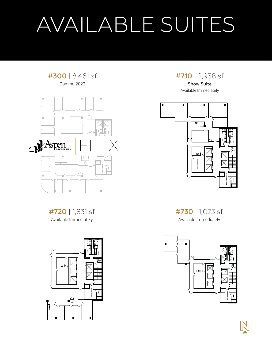# AVAILABLE SUITES

#### #300 | 8,461 sf Coming 2022



#720 | 1,831 sf Available Immediately



#710 | 2,938 sf

Show Suite Available Immediately



#730 | 1,073 sf Available Immediately

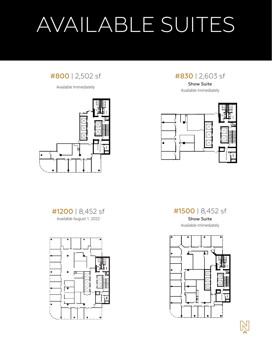# AVAILABLE SUITES

### #800 | 2,502 sf

Available Immediately



#830 | 2,603 sf

Show Suite Available Immediately



#1200 | 8,452 sf Available August 1, 2022



#1500 | 8,452 sf

Show Suite Available Immediately

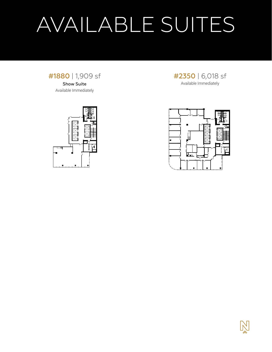# AVAILABLE SUITES



Available Immediately





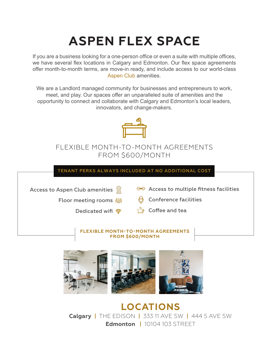### **ASPEN FLEX SPACE**

If you are a business looking for a one-person office or even a suite with multiple offices, we have several flex locations in Calgary and Edmonton. Our flex space agreements offer month-to-month terms, are move-in ready, and include access to our world-class [Aspen Club](https://www.aspenproperties.ca/club) amenities.

We are a Landlord managed community for businesses and entrepreneurs to work, meet, and play. Our spaces offer an unparalleled suite of amenities and the opportunity to connect and collaborate with Calgary and Edmonton's local leaders, innovators, and change-makers.



### FLEXIBLE MONTH-TO-MONTH AGREEMENTS FROM \$600/MONTH

**TENANT PERKS ALWAYS INCLUDED AT NO ADDITIONAL COST**

Access to Aspen Club amenities

 $\P$   $\P$  Access to multiple fitness facilities

**Floor meeting rooms 鯔** 

 $\biguplus$  Conference facilities



 $\mathbb{D}$  Coffee and tea

#### **FLEXIBLE MONTH-TO-MONTH AGREEMENTS FROM \$600/MONTH**



**LOCATIONS Calgary** | THE EDISON | 333 11 AVE SW| 444 5 AVE SW **Edmonton | 10104 103 STRFFT**